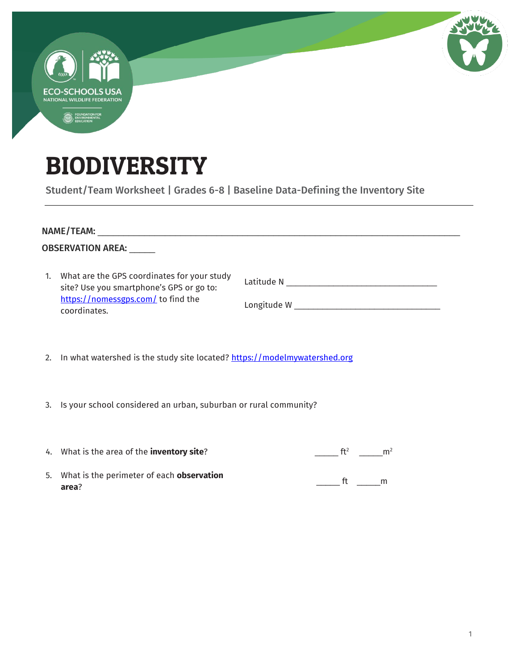| <b>COLOR</b>                                                                                                |  |  |
|-------------------------------------------------------------------------------------------------------------|--|--|
| <b>ECO-SCHOOLS USA</b><br>NATIONAL WILDLIFE FEDERATION<br>FOUNDATION FOR<br>ENVIRONMENTAL<br>EDUCATION<br>۱ |  |  |
|                                                                                                             |  |  |

## BIODIVERSITY

Student/Team Worksheet | Grades 6-8 | Baseline Data-Defining the Inventory Site

| <b>OBSERVATION AREA:</b>      |                                                                                                                                               |                                   |  |  |  |  |
|-------------------------------|-----------------------------------------------------------------------------------------------------------------------------------------------|-----------------------------------|--|--|--|--|
| 1.                            | What are the GPS coordinates for your study<br>site? Use you smartphone's GPS or go to:<br>https://nomessgps.com/ to find the<br>coordinates. |                                   |  |  |  |  |
| $\mathfrak{D}_{\mathfrak{p}}$ | In what watershed is the study site located? https://modelmywatershed.org                                                                     |                                   |  |  |  |  |
|                               | 3. Is your school considered an urban, suburban or rural community?                                                                           |                                   |  |  |  |  |
|                               | 4. What is the area of the <b>inventory site</b> ?                                                                                            | ft <sup>2</sup><br>m <sup>2</sup> |  |  |  |  |

5. What is the perimeter of each **observation area**?  $\frac{1}{\sqrt{2\pi}}$  ft  $\frac{1}{\sqrt{2\pi}}$ m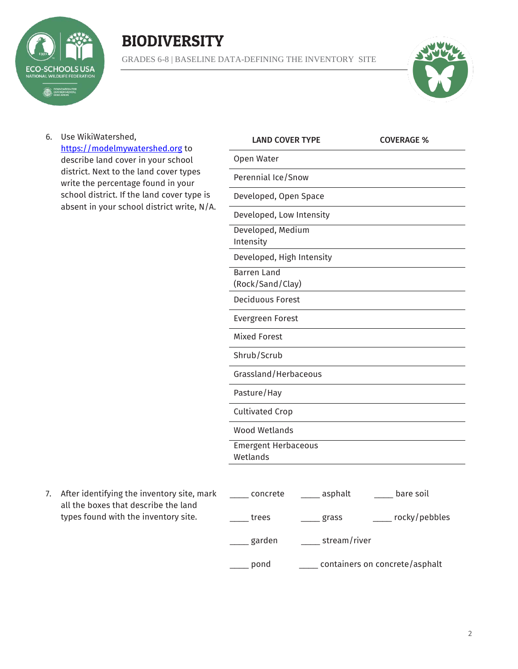

## **BIODIVERSITY**

GRADES 6-8 | BASELINE DATA-DEFINING THE INVENTORY SITE



6. Use WikiWatershed, [https://modelmywatershed.org](https://modelmywatershed.org/) to describe land cover in your school district. Next to the land cover types write the percentage found in your school district. If the land cover type is absent in your school district write, N/A.

| <b>LAND COVER TYPE</b>                 |         | <b>COVERAGE %</b> |
|----------------------------------------|---------|-------------------|
| Open Water                             |         |                   |
| Perennial Ice/Snow                     |         |                   |
| Developed, Open Space                  |         |                   |
| Developed, Low Intensity               |         |                   |
| Developed, Medium<br>Intensity         |         |                   |
| Developed, High Intensity              |         |                   |
| <b>Barren Land</b><br>(Rock/Sand/Clay) |         |                   |
| <b>Deciduous Forest</b>                |         |                   |
| <b>Evergreen Forest</b>                |         |                   |
| <b>Mixed Forest</b>                    |         |                   |
| Shrub/Scrub                            |         |                   |
| Grassland/Herbaceous                   |         |                   |
| Pasture/Hay                            |         |                   |
| <b>Cultivated Crop</b>                 |         |                   |
| <b>Wood Wetlands</b>                   |         |                   |
| <b>Emergent Herbaceous</b><br>Wetlands |         |                   |
| concrete                               | asnhalt | hare soil         |

7. After identifying the inventory site, mark all the boxes that describe the land types found with the inventory site.

| concrete | asphalt<br>bare soil           |
|----------|--------------------------------|
| trees    | rocky/pebbles<br>grass         |
| garden   | stream/river                   |
| pond     | containers on concrete/asphalt |